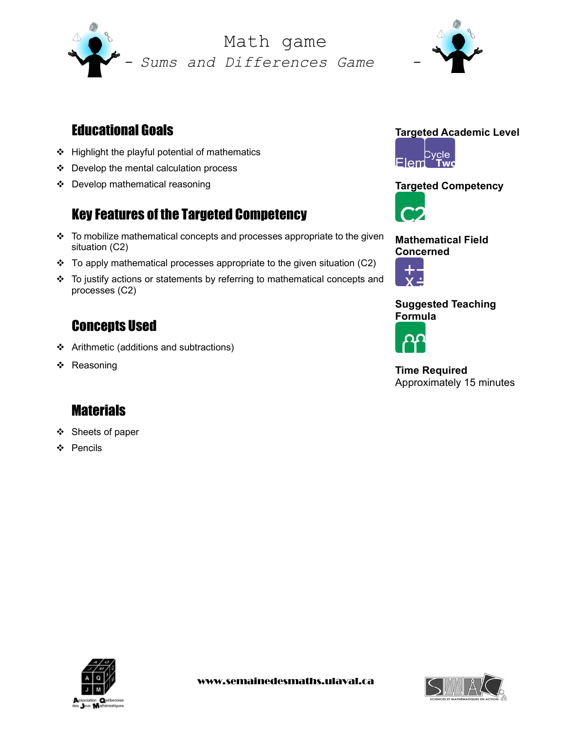

Sums and Differences Game Math game



# Educational Goals

- Highlight the playful potential of mathematics
- Develop the mental calculation process
- Develop mathematical reasoning

# Key Features of the Targeted Competency

- $\cdot \cdot$  To mobilize mathematical concepts and processes appropriate to the given situation (C2)
- To apply mathematical processes appropriate to the given situation (C2)
- To justify actions or statements by referring to mathematical concepts and processes (C2)

### Concepts Used

- Arithmetic (additions and subtractions)
- ❖ Reasoning

# **Materials**

- ❖ Sheets of paper
- ❖ Pencils





### Targeted Competency



Mathematical Field Concerned



### Suggested Teaching Formula



Time Required Approximately 15 minutes